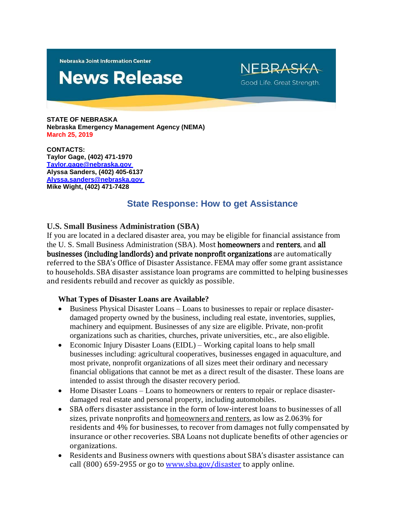**Nebraska Joint Information Center** 

# **News Release**

NFBRASK Good Life. Great Strength.

**STATE OF NEBRASKA Nebraska Emergency Management Agency (NEMA) March 25, 2019**

**CONTACTS: Taylor Gage, (402) 471-1970 [Taylor.gage@nebraska.gov](mailto:Taylor.gage@nebraska.gov) Alyssa Sanders, (402) 405-6137 [Alyssa.sanders@nebraska.gov](mailto:Alyssa.sanders@nebraska.gov) Mike Wight, (402) 471-7428**

## **State Response: How to get Assistance**

### **U.S. Small Business Administration (SBA)**

If you are located in a declared disaster area, you may be eligible for financial assistance from the U. S. Small Business Administration (SBA). Most homeowners and renters, and all businesses (including landlords) and private nonprofit organizations are automatically referred to the SBA's Office of Disaster Assistance. FEMA may offer some grant assistance to households. SBA disaster assistance loan programs are committed to helping businesses and residents rebuild and recover as quickly as possible.

### **What Types of Disaster Loans are Available?**

- Business Physical Disaster Loans Loans to businesses to repair or replace disasterdamaged property owned by the business, including real estate, inventories, supplies, machinery and equipment. Businesses of any size are eligible. Private, non-profit organizations such as charities, churches, private universities, etc., are also eligible.
- Economic Injury Disaster Loans (EIDL) Working capital loans to help small businesses including: agricultural cooperatives, businesses engaged in aquaculture, and most private, nonprofit organizations of all sizes meet their ordinary and necessary financial obligations that cannot be met as a direct result of the disaster. These loans are intended to assist through the disaster recovery period.
- Home Disaster Loans Loans to homeowners or renters to repair or replace disasterdamaged real estate and personal property, including automobiles.
- SBA offers disaster assistance in the form of low-interest loans to businesses of all sizes, private nonprofits and homeowners and renters, as low as 2.063% for residents and 4% for businesses, to recover from damages not fully compensated by insurance or other recoveries. SBA Loans not duplicate benefits of other agencies or organizations.
- Residents and Business owners with questions about SBA's disaster assistance can call (800) 659-2955 or go to [www.sba.gov/disaster](http://www.sba.gov/disaster) to apply online.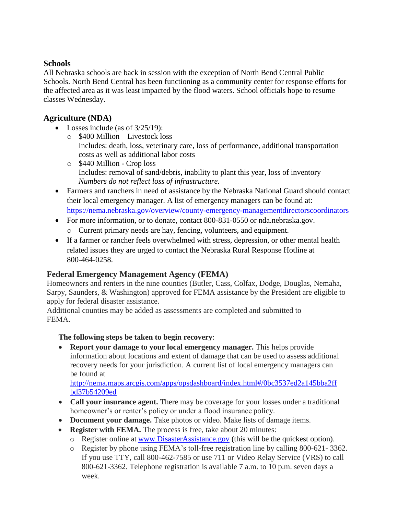## **Schools**

All Nebraska schools are back in session with the exception of North Bend Central Public Schools. North Bend Central has been functioning as a community center for response efforts for the affected area as it was least impacted by the flood waters. School officials hope to resume classes Wednesday.

## **Agriculture (NDA)**

- Losses include (as of  $3/25/19$ ):
	- o \$400 Million Livestock loss Includes: death, loss, veterinary care, loss of performance, additional transportation costs as well as additional labor costs
	- o \$440 Million Crop loss Includes: removal of sand/debris, inability to plant this year, loss of inventory *Numbers do not reflect loss of infrastructure.*
- Farmers and ranchers in need of assistance by the Nebraska National Guard should contact their local emergency manager. A list of emergency managers can be found at: <https://nema.nebraska.gov/overview/county-emergency-managementdirectorscoordinators>
- For more information, or to donate, contact 800-831-0550 or nda.nebraska.gov.
	- o Current primary needs are hay, fencing, volunteers, and equipment.
- If a farmer or rancher feels overwhelmed with stress, depression, or other mental health related issues they are urged to contact the Nebraska Rural Response Hotline at 800-464-0258.

## **Federal Emergency Management Agency (FEMA)**

Homeowners and renters in the nine counties (Butler, Cass, Colfax, Dodge, Douglas, Nemaha, Sarpy, Saunders, & Washington) approved for FEMA assistance by the President are eligible to apply for federal disaster assistance.

Additional counties may be added as assessments are completed and submitted to FEMA.

## **The following steps be taken to begin recovery**:

 **Report your damage to your local emergency manager.** This helps provide information about locations and extent of damage that can be used to assess additional recovery needs for your jurisdiction. A current list of local emergency managers can be found at

[http://nema.maps.arcgis.com/apps/opsdashboard/index.html#/0bc3537ed2a145bba2ff](http://nema.maps.arcgis.com/apps/opsdashboard/index.html#/0bc3537ed2a145bba2ffbd37b54209ed) [bd37b54209ed](http://nema.maps.arcgis.com/apps/opsdashboard/index.html#/0bc3537ed2a145bba2ffbd37b54209ed)

- **Call your insurance agent.** There may be coverage for your losses under a traditional homeowner's or renter's policy or under a flood insurance policy.
- **Document your damage.** Take photos or video. Make lists of damage items.
- **Register with FEMA.** The process is free, take about 20 minutes:
	- o Register online at [www.DisasterAssistance.gov](http://www.disasterassistance.gov/) (this will be the quickest option).
	- o Register by phone using FEMA's toll-free registration line by calling 800-621- 3362. If you use TTY, call 800-462-7585 or use 711 or Video Relay Service (VRS) to call 800-621-3362. Telephone registration is available 7 a.m. to 10 p.m. seven days a week.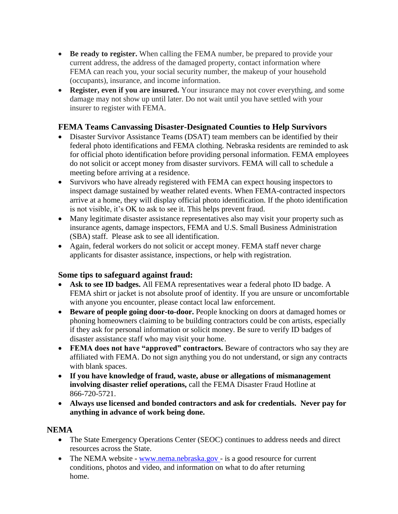- **Be ready to register.** When calling the FEMA number, be prepared to provide your current address, the address of the damaged property, contact information where FEMA can reach you, your social security number, the makeup of your household (occupants), insurance, and income information.
- **Register, even if you are insured.** Your insurance may not cover everything, and some damage may not show up until later. Do not wait until you have settled with your insurer to register with FEMA.

## **FEMA Teams Canvassing Disaster-Designated Counties to Help Survivors**

- Disaster Survivor Assistance Teams (DSAT) team members can be identified by their federal photo identifications and FEMA clothing. Nebraska residents are reminded to ask for official photo identification before providing personal information. FEMA employees do not solicit or accept money from disaster survivors. FEMA will call to schedule a meeting before arriving at a residence.
- Survivors who have already registered with FEMA can expect housing inspectors to inspect damage sustained by weather related events. When FEMA-contracted inspectors arrive at a home, they will display official photo identification. If the photo identification is not visible, it's OK to ask to see it. This helps prevent fraud.
- Many legitimate disaster assistance representatives also may visit your property such as insurance agents, damage inspectors, FEMA and U.S. Small Business Administration (SBA) staff. Please ask to see all identification.
- Again, federal workers do not solicit or accept money. FEMA staff never charge applicants for disaster assistance, inspections, or help with registration.

### **Some tips to safeguard against fraud:**

- **Ask to see ID badges.** All FEMA representatives wear a federal photo ID badge. A FEMA shirt or jacket is not absolute proof of identity. If you are unsure or uncomfortable with anyone you encounter, please contact local law enforcement.
- **Beware of people going door-to-door.** People knocking on doors at damaged homes or phoning homeowners claiming to be building contractors could be con artists, especially if they ask for personal information or solicit money. Be sure to verify ID badges of disaster assistance staff who may visit your home.
- **FEMA does not have "approved" contractors.** Beware of contractors who say they are affiliated with FEMA. Do not sign anything you do not understand, or sign any contracts with blank spaces.
- **If you have knowledge of fraud, waste, abuse or allegations of mismanagement involving disaster relief operations,** call the FEMA Disaster Fraud Hotline at 866-720-5721.
- **Always use licensed and bonded contractors and ask for credentials. Never pay for anything in advance of work being done.**

### **NEMA**

- The State Emergency Operations Center (SEOC) continues to address needs and direct resources across the State.
- The NEMA website [www.nema.nebraska.gov -](http://www.nema.nebraska.gov/) is a good resource for current conditions, photos and video, and information on what to do after returning home.